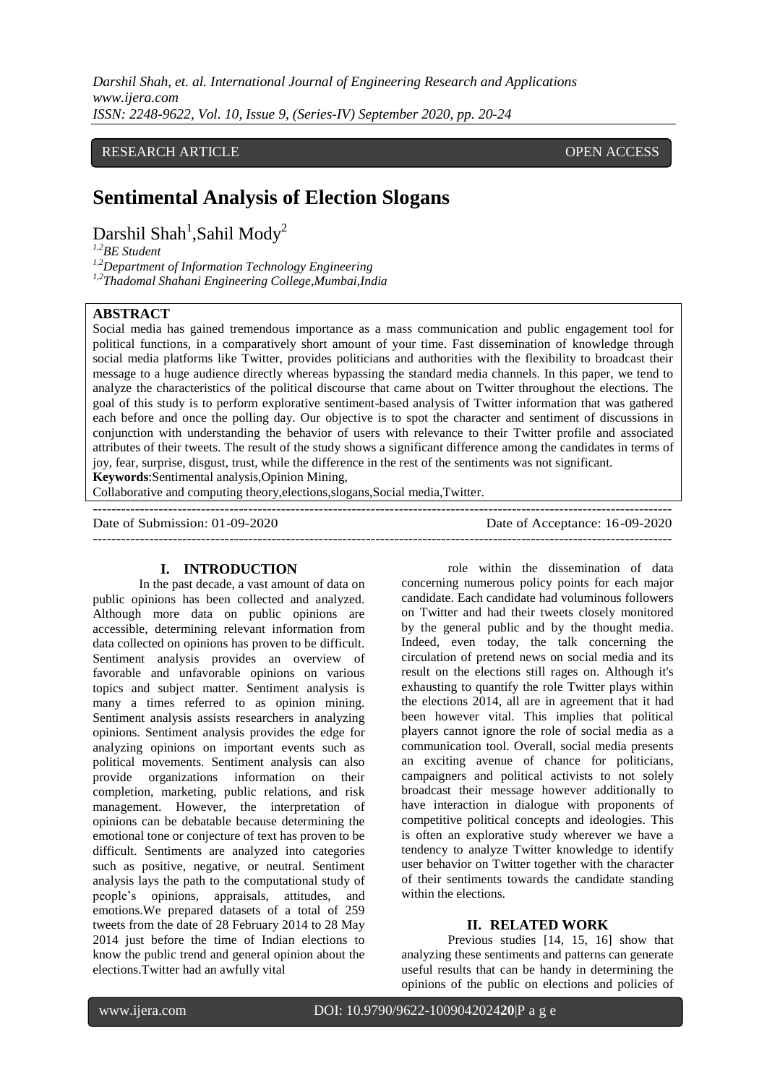*Darshil Shah, et. al. International Journal of Engineering Research and Applications www.ijera.com ISSN: 2248-9622, Vol. 10, Issue 9, (Series-IV) September 2020, pp. 20-24*

# RESEARCH ARTICLE **ARTICLE** AND **CONSIDERED ACCESS** OPEN ACCESS OPEN ACCESS

# **Sentimental Analysis of Election Slogans**

Darshil Shah<sup>1</sup>,Sahil Mody<sup>2</sup>

*1,2BE Student*

*1,2Department of Information Technology Engineering 1,2Thadomal Shahani Engineering College,Mumbai,India*

#### **ABSTRACT**

Social media has gained tremendous importance as a mass communication and public engagement tool for political functions, in a comparatively short amount of your time. Fast dissemination of knowledge through social media platforms like Twitter, provides politicians and authorities with the flexibility to broadcast their message to a huge audience directly whereas bypassing the standard media channels. In this paper, we tend to analyze the characteristics of the political discourse that came about on Twitter throughout the elections. The goal of this study is to perform explorative sentiment-based analysis of Twitter information that was gathered each before and once the polling day. Our objective is to spot the character and sentiment of discussions in conjunction with understanding the behavior of users with relevance to their Twitter profile and associated attributes of their tweets. The result of the study shows a significant difference among the candidates in terms of joy, fear, surprise, disgust, trust, while the difference in the rest of the sentiments was not significant. **Keywords**:Sentimental analysis,Opinion Mining,

---------------------------------------------------------------------------------------------------------------------------

Collaborative and computing theory,elections,slogans,Social media,Twitter.

Date of Submission: 01-09-2020 Date of Acceptance: 16-09-2020

#### **I. INTRODUCTION**

In the past decade, a vast amount of data on public opinions has been collected and analyzed. Although more data on public opinions are accessible, determining relevant information from data collected on opinions has proven to be difficult. Sentiment analysis provides an overview of favorable and unfavorable opinions on various topics and subject matter. Sentiment analysis is many a times referred to as opinion mining. Sentiment analysis assists researchers in analyzing opinions. Sentiment analysis provides the edge for analyzing opinions on important events such as political movements. Sentiment analysis can also provide organizations information on their completion, marketing, public relations, and risk management. However, the interpretation of opinions can be debatable because determining the emotional tone or conjecture of text has proven to be difficult. Sentiments are analyzed into categories such as positive, negative, or neutral. Sentiment analysis lays the path to the computational study of people's opinions, appraisals, attitudes, and emotions.We prepared datasets of a total of 259 tweets from the date of 28 February 2014 to 28 May 2014 just before the time of Indian elections to know the public trend and general opinion about the elections.Twitter had an awfully vital

role within the dissemination of data concerning numerous policy points for each major candidate. Each candidate had voluminous followers on Twitter and had their tweets closely monitored by the general public and by the thought media. Indeed, even today, the talk concerning the circulation of pretend news on social media and its result on the elections still rages on. Although it's exhausting to quantify the role Twitter plays within the elections 2014, all are in agreement that it had been however vital. This implies that political players cannot ignore the role of social media as a communication tool. Overall, social media presents an exciting avenue of chance for politicians, campaigners and political activists to not solely broadcast their message however additionally to have interaction in dialogue with proponents of competitive political concepts and ideologies. This is often an explorative study wherever we have a tendency to analyze Twitter knowledge to identify user behavior on Twitter together with the character of their sentiments towards the candidate standing within the elections.

## **II. RELATED WORK**

Previous studies [14, 15, 16] show that analyzing these sentiments and patterns can generate useful results that can be handy in determining the opinions of the public on elections and policies of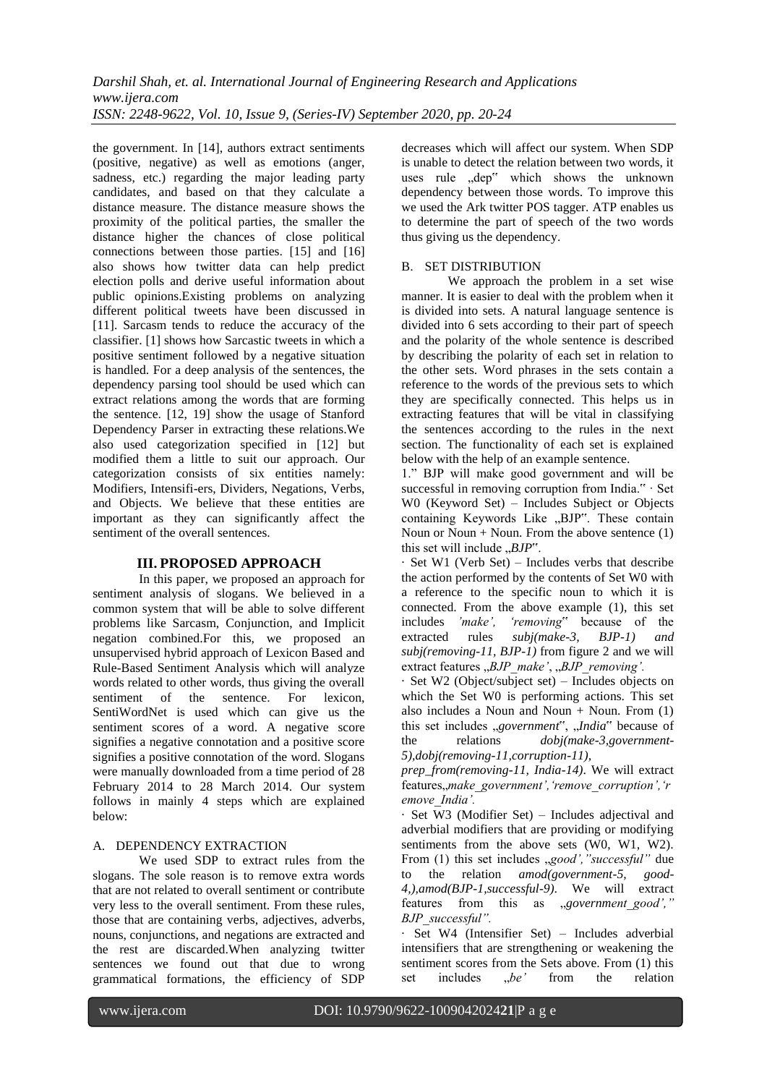the government. In [14], authors extract sentiments (positive, negative) as well as emotions (anger, sadness, etc.) regarding the major leading party candidates, and based on that they calculate a distance measure. The distance measure shows the proximity of the political parties, the smaller the distance higher the chances of close political connections between those parties. [15] and [16] also shows how twitter data can help predict election polls and derive useful information about public opinions.Existing problems on analyzing different political tweets have been discussed in [11]. Sarcasm tends to reduce the accuracy of the classifier. [1] shows how Sarcastic tweets in which a positive sentiment followed by a negative situation is handled. For a deep analysis of the sentences, the dependency parsing tool should be used which can extract relations among the words that are forming the sentence. [12, 19] show the usage of Stanford Dependency Parser in extracting these relations.We also used categorization specified in [12] but modified them a little to suit our approach. Our categorization consists of six entities namely: Modifiers, Intensifi-ers, Dividers, Negations, Verbs, and Objects. We believe that these entities are important as they can significantly affect the sentiment of the overall sentences.

# **III. PROPOSED APPROACH**

In this paper, we proposed an approach for sentiment analysis of slogans. We believed in a common system that will be able to solve different problems like Sarcasm, Conjunction, and Implicit negation combined.For this, we proposed an unsupervised hybrid approach of Lexicon Based and Rule-Based Sentiment Analysis which will analyze words related to other words, thus giving the overall sentiment of the sentence. For lexicon, SentiWordNet is used which can give us the sentiment scores of a word. A negative score signifies a negative connotation and a positive score signifies a positive connotation of the word. Slogans were manually downloaded from a time period of 28 February 2014 to 28 March 2014. Our system follows in mainly 4 steps which are explained below:

## A. DEPENDENCY EXTRACTION

We used SDP to extract rules from the slogans. The sole reason is to remove extra words that are not related to overall sentiment or contribute very less to the overall sentiment. From these rules, those that are containing verbs, adjectives, adverbs, nouns, conjunctions, and negations are extracted and the rest are discarded.When analyzing twitter sentences we found out that due to wrong grammatical formations, the efficiency of SDP decreases which will affect our system. When SDP is unable to detect the relation between two words, it uses rule "dep" which shows the unknown dependency between those words. To improve this we used the Ark twitter POS tagger. ATP enables us to determine the part of speech of the two words thus giving us the dependency.

# B. SET DISTRIBUTION

We approach the problem in a set wise manner. It is easier to deal with the problem when it is divided into sets. A natural language sentence is divided into 6 sets according to their part of speech and the polarity of the whole sentence is described by describing the polarity of each set in relation to the other sets. Word phrases in the sets contain a reference to the words of the previous sets to which they are specifically connected. This helps us in extracting features that will be vital in classifying the sentences according to the rules in the next section. The functionality of each set is explained below with the help of an example sentence.

1." BJP will make good government and will be successful in removing corruption from India." · Set W0 (Keyword Set) – Includes Subject or Objects containing Keywords Like "BJP". These contain Noun or Noun + Noun. From the above sentence  $(1)$ this set will include "*BJP*".

· Set W1 (Verb Set) – Includes verbs that describe the action performed by the contents of Set W0 with a reference to the specific noun to which it is connected. From the above example (1), this set includes *'make', 'removing*" because of the extracted rules *subj(make-3, BJP-1) and subj(removing-11, BJP-1)* from figure 2 and we will extract features " $BJP\_make'$ , " $BJP\_removing'$ .

· Set W2 (Object/subject set) – Includes objects on which the Set W0 is performing actions. This set also includes a Noun and Noun + Noun. From  $(1)$ this set includes "*government*", "India" because of the relations *dobj(make-3,government-5),dobj(removing-11,corruption-11),* 

*prep\_from(removing-11, India-14)*. We will extract features"*make\_government','remove\_corruption','r emove\_India'.* 

· Set W3 (Modifier Set) – Includes adjectival and adverbial modifiers that are providing or modifying sentiments from the above sets (W0, W1, W2). From (1) this set includes "*good'*, "successful" due to the relation *amod(government-5, good-4,),amod(BJP-1,successful-9)*. We will extract features from this as *"government good*'," *BJP\_successful".* 

· Set W4 (Intensifier Set) – Includes adverbial intensifiers that are strengthening or weakening the sentiment scores from the Sets above. From (1) this set includes "*be*' from the relation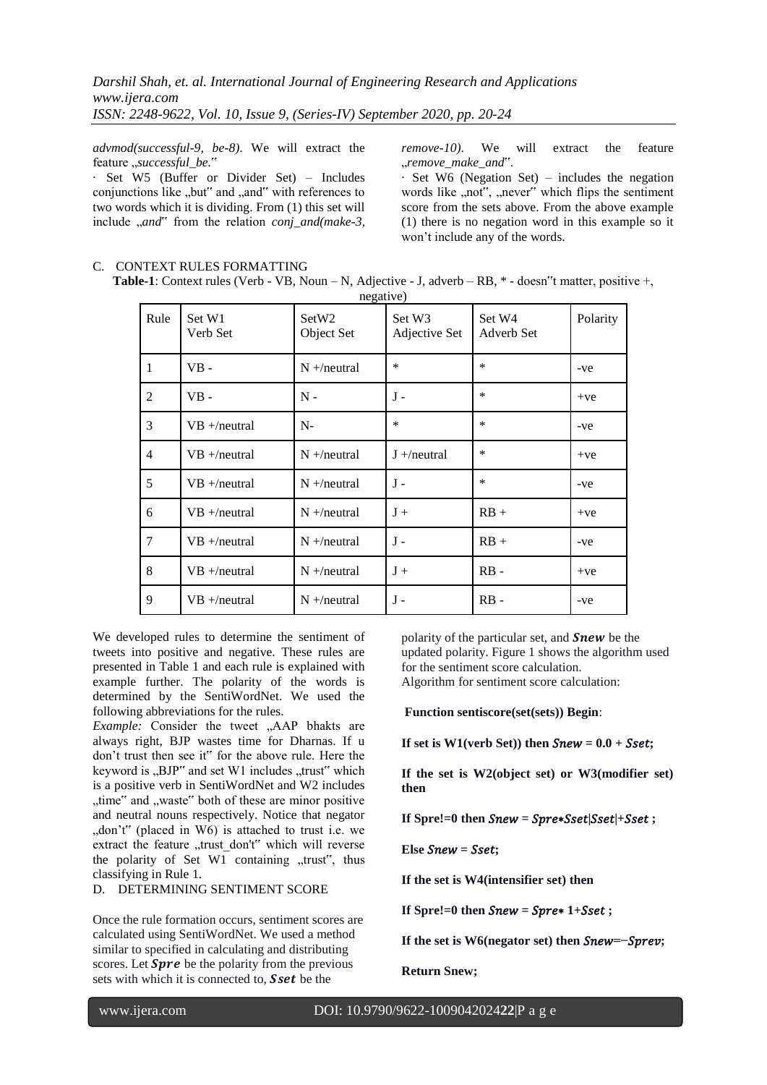*advmod(successful-9, be-8)*. We will extract the feature "successful\_be."

· Set W5 (Buffer or Divider Set) – Includes conjunctions like "but" and "and" with references to two words which it is dividing. From (1) this set will include "*and*" from the relation *conj\_and(make-3,*  *remove-10)*. We will extract the feature "*remove\_make\_and*".

· Set W6 (Negation Set) – includes the negation words like "not", "never" which flips the sentiment score from the sets above. From the above example (1) there is no negation word in this example so it won't include any of the words.

# C. CONTEXT RULES FORMATTING **Table-1**: Context rules (Verb - VB, Noun – N, Adjective - J, adverb – RB, \* - doesn"t matter, positive +,

| Rule           | Set W1<br>Verb Set | SetW2<br>Object Set | Set W3<br>Adjective Set | Set W4<br>Adverb Set | Polarity |
|----------------|--------------------|---------------------|-------------------------|----------------------|----------|
| 1              | $VB -$             | $N + /$ neutral     | $\ast$                  | $\ast$               | -ve      |
| $\overline{2}$ | $VB -$             | $N -$               | $J -$                   | $\ast$               | $+ve$    |
| 3              | $VB + / neutral$   | $N-$                | $\ast$                  | $\ast$               | -ve      |
| $\overline{4}$ | $VB + / neutral$   | $N + /$ neutral     | $J + /neutral$          | $\ast$               | $+ve$    |
| 5              | $VB + / neutral$   | $N + /$ neutral     | $J -$                   | $\ast$               | -ve      |
| 6              | $VB + / neutral$   | $N + /$ neutral     | $J +$                   | $RB +$               | $+ve$    |
| $\tau$         | $VB + /neutral$    | $N + /$ neutral     | $J -$                   | $RB +$               | -ve      |
| 8              | $VB + / neutral$   | $N + /$ neutral     | $J +$                   | $RB -$               | $+ve$    |
| 9              | $VB + / neutral$   | $N + /$ neutral     | $J -$                   | $RB -$               | -ve      |

We developed rules to determine the sentiment of tweets into positive and negative. These rules are presented in Table 1 and each rule is explained with example further. The polarity of the words is determined by the SentiWordNet. We used the following abbreviations for the rules.

*Example:* Consider the tweet "AAP bhakts are always right, BJP wastes time for Dharnas. If u don't trust then see it" for the above rule. Here the keyword is  $\mu$ BJP" and set W1 includes  $\mu$ trust" which is a positive verb in SentiWordNet and W2 includes "time" and "waste" both of these are minor positive and neutral nouns respectively. Notice that negator "don't" (placed in  $W_0$ ) is attached to trust i.e. we extract the feature "trust\_don't" which will reverse the polarity of Set W1 containing "trust", thus classifying in Rule 1.

## D. DETERMINING SENTIMENT SCORE

Once the rule formation occurs, sentiment scores are calculated using SentiWordNet. We used a method similar to specified in calculating and distributing scores. Let  $Spre$  be the polarity from the previous sets with which it is connected to, **Sset** be the

polarity of the particular set, and  $Snew$  be the updated polarity. Figure 1 shows the algorithm used for the sentiment score calculation. Algorithm for sentiment score calculation:

**Function sentiscore(set(sets)) Begin**:

If set is  $W1$ (verb Set)) then  $\textit{Snew} = 0.0 + \textit{Sset}$ ;

**If the set is W2(object set) or W3(modifier set) then**

**If** Spre!=0 then  $Snew = Spre*Sset|Sset|+Sset$ ;

 $E$ **lse**  $S$ *new* **=**  $S$ *set***;** 

**If the set is W4(intensifier set) then**

**If Spre!=0 then**  $\textit{Snew} = \textit{Spre*} 1 + \textit{Sset}$ **;** 

**If the set is W6(negator set) then**  $\textit{Snew}$  **=−** $\textit{Sprev}$ **;** 

**Return Snew;**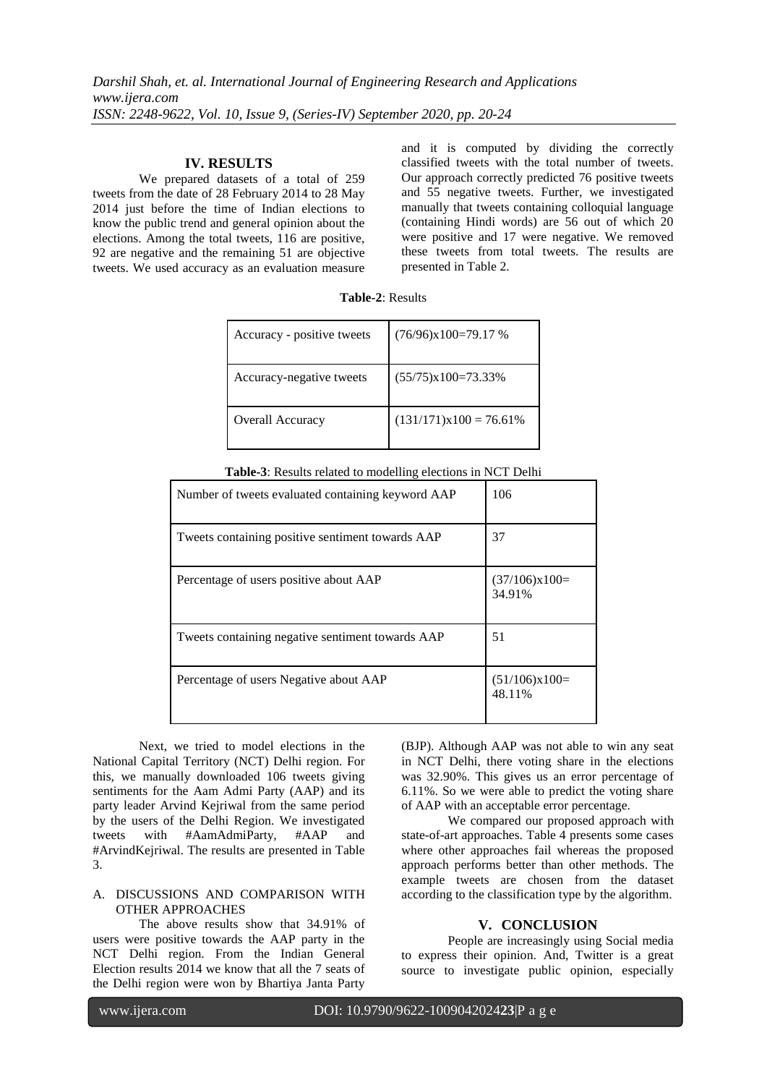#### **IV. RESULTS**

We prepared datasets of a total of 259 tweets from the date of 28 February 2014 to 28 May 2014 just before the time of Indian elections to know the public trend and general opinion about the elections. Among the total tweets, 116 are positive, 92 are negative and the remaining 51 are objective tweets. We used accuracy as an evaluation measure

and it is computed by dividing the correctly classified tweets with the total number of tweets. Our approach correctly predicted 76 positive tweets and 55 negative tweets. Further, we investigated manually that tweets containing colloquial language (containing Hindi words) are 56 out of which 20 were positive and 17 were negative. We removed these tweets from total tweets. The results are presented in Table 2.

| Accuracy - positive tweets | $(76/96)x100=79.17%$      |
|----------------------------|---------------------------|
| Accuracy-negative tweets   | $(55/75)x100=73.33\%$     |
| Overall Accuracy           | $(131/171)x100 = 76.61\%$ |

**Table-2**: Results

| Number of tweets evaluated containing keyword AAP | 106                       |
|---------------------------------------------------|---------------------------|
| Tweets containing positive sentiment towards AAP  | 37                        |
| Percentage of users positive about AAP            | $(37/106)x100=$<br>34.91% |
| Tweets containing negative sentiment towards AAP  | 51                        |
| Percentage of users Negative about AAP            | $(51/106)x100=$<br>48.11% |

Next, we tried to model elections in the National Capital Territory (NCT) Delhi region. For this, we manually downloaded 106 tweets giving sentiments for the Aam Admi Party (AAP) and its party leader Arvind Kejriwal from the same period by the users of the Delhi Region. We investigated tweets with #AamAdmiParty, #AAP and #ArvindKejriwal. The results are presented in Table 3.

# A. DISCUSSIONS AND COMPARISON WITH OTHER APPROACHES

The above results show that 34.91% of users were positive towards the AAP party in the NCT Delhi region. From the Indian General Election results 2014 we know that all the 7 seats of the Delhi region were won by Bhartiya Janta Party

(BJP). Although AAP was not able to win any seat in NCT Delhi, there voting share in the elections was 32.90%. This gives us an error percentage of 6.11%. So we were able to predict the voting share of AAP with an acceptable error percentage.

We compared our proposed approach with state-of-art approaches. Table 4 presents some cases where other approaches fail whereas the proposed approach performs better than other methods. The example tweets are chosen from the dataset according to the classification type by the algorithm.

#### **V. CONCLUSION**

People are increasingly using Social media to express their opinion. And, Twitter is a great source to investigate public opinion, especially